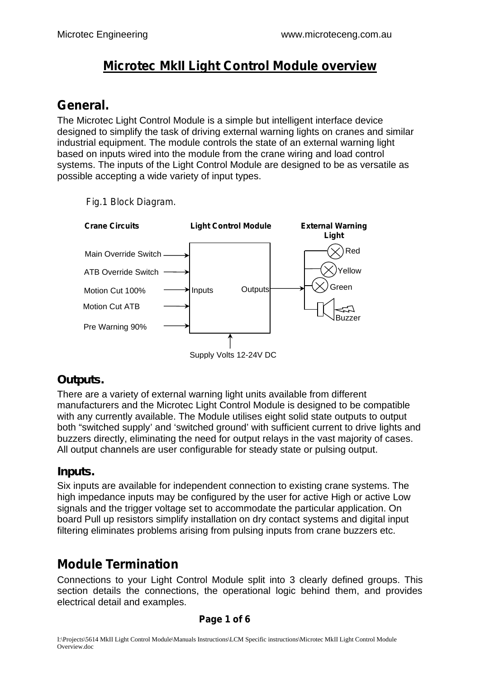# **Microtec MkII Light Control Module overview**

### **General.**

The Microtec Light Control Module is a simple but intelligent interface device designed to simplify the task of driving external warning lights on cranes and similar industrial equipment. The module controls the state of an external warning light based on inputs wired into the module from the crane wiring and load control systems. The inputs of the Light Control Module are designed to be as versatile as possible accepting a wide variety of input types.



*Fig.1 Block Diagram.*

### *Outputs.*

There are a variety of external warning light units available from different manufacturers and the Microtec Light Control Module is designed to be compatible with any currently available. The Module utilises eight solid state outputs to output both "switched supply' and 'switched ground' with sufficient current to drive lights and buzzers directly, eliminating the need for output relays in the vast majority of cases. All output channels are user configurable for steady state or pulsing output.

### *Inputs.*

Six inputs are available for independent connection to existing crane systems. The high impedance inputs may be configured by the user for active High or active Low signals and the trigger voltage set to accommodate the particular application. On board Pull up resistors simplify installation on dry contact systems and digital input filtering eliminates problems arising from pulsing inputs from crane buzzers etc.

# **Module Termination**

Connections to your Light Control Module split into 3 clearly defined groups. This section details the connections, the operational logic behind them, and provides electrical detail and examples.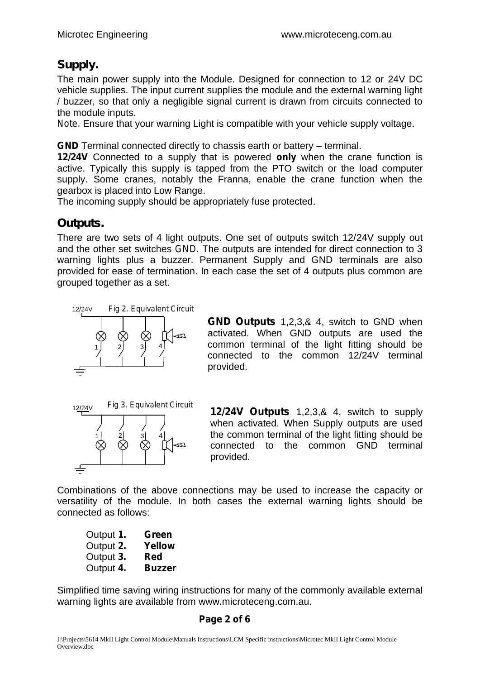### *Supply.*

The main power supply into the Module. Designed for connection to 12 or 24V DC vehicle supplies. The input current supplies the module and the external warning light / buzzer, so that only a negligible signal current is drawn from circuits connected to the module inputs.

*Note.* Ensure that your warning Light is compatible with your vehicle supply voltage.

**GND** Terminal connected directly to chassis earth or battery – terminal.

**12/24V** Connected to a supply that is powered **only** when the crane function is active. Typically this supply is tapped from the PTO switch or the load computer supply. Some cranes, notably the Franna, enable the crane function when the gearbox is placed into Low Range.

The incoming supply should be appropriately fuse protected.

### *Outputs.*

There are two sets of 4 light outputs. One set of outputs switch 12/24V supply out and the other set switches *GND.* The outputs are intended for direct connection to 3 warning lights plus a buzzer. Permanent Supply and GND terminals are also provided for ease of termination. In each case the set of 4 outputs plus common are grouped together as a set.



**GND Outputs** 1,2,3,& 4, switch to GND when activated. When GND outputs are used the common terminal of the light fitting should be connected to the common 12/24V terminal provided.



**12/24V Outputs** 1,2,3,& 4, switch to supply when activated. When Supply outputs are used the common terminal of the light fitting should be connected to the common GND terminal provided.

Combinations of the above connections may be used to increase the capacity or versatility of the module. In both cases the external warning lights should be connected as follows:

| Output 1. | Green         |  |
|-----------|---------------|--|
| Output 2. | Yellow        |  |
| Output 3. | Red           |  |
| Output 4. | <b>Buzzer</b> |  |

Simplified time saving wiring instructions for many of the commonly available external warning lights are available from www.microteceng.com.au.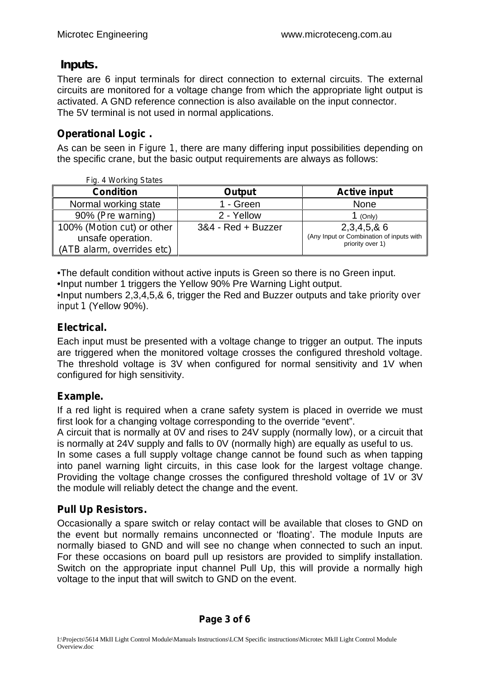### *Inputs.*

There are 6 input terminals for direct connection to external circuits. The external circuits are monitored for a voltage change from which the appropriate light output is activated. A GND reference connection is also available on the input connector. The 5V terminal is not used in normal applications.

#### **Operational Logic .**

As can be seen in *Figure 1*, there are many differing input possibilities depending on the specific crane, but the basic output requirements are always as follows:

| Fig. 4 Working States                           |                    |                                                                               |
|-------------------------------------------------|--------------------|-------------------------------------------------------------------------------|
| <b>Condition</b>                                | <b>Output</b>      | <b>Active input</b>                                                           |
| Normal working state                            | 1 - Green          | <b>None</b>                                                                   |
| 90% (Pre warning)                               | 2 - Yellow         | (Only)                                                                        |
| 100% (Motion cut) or other<br>unsafe operation. | 3&4 - Red + Buzzer | $2,3,4,5,8$ 6<br>(Any Input or Combination of inputs with<br>priority over 1) |
| (ATB alarm, overrides etc)                      |                    |                                                                               |

•The default condition without active inputs is Green so there is no Green input. •Input number 1 triggers the Yellow 90% Pre Warning Light output.

•Input numbers 2,3,4,5,& 6, trigger the Red and Buzzer outputs and *take priority over input 1* (Yellow 90%).

#### **Electrical.**

Each input must be presented with a voltage change to trigger an output. The inputs are triggered when the monitored voltage crosses the configured threshold voltage. The threshold voltage is 3V when configured for normal sensitivity and 1V when configured for high sensitivity.

#### **Example.**

If a red light is required when a crane safety system is placed in override we must first look for a changing voltage corresponding to the override "event".

A circuit that is normally at 0V and rises to 24V supply (normally low), or a circuit that is normally at 24V supply and falls to 0V (normally high) are equally as useful to us.

In some cases a full supply voltage change cannot be found such as when tapping into panel warning light circuits, in this case look for the largest voltage change. Providing the voltage change crosses the configured threshold voltage of 1V or 3V the module will reliably detect the change and the event.

#### **Pull Up Resistors.**

Occasionally a spare switch or relay contact will be available that closes to GND on the event but normally remains unconnected or 'floating'. The module Inputs are normally biased to GND and will see no change when connected to such an input. For these occasions on board pull up resistors are provided to simplify installation. Switch on the appropriate input channel Pull Up, this will provide a normally high voltage to the input that will switch to GND on the event.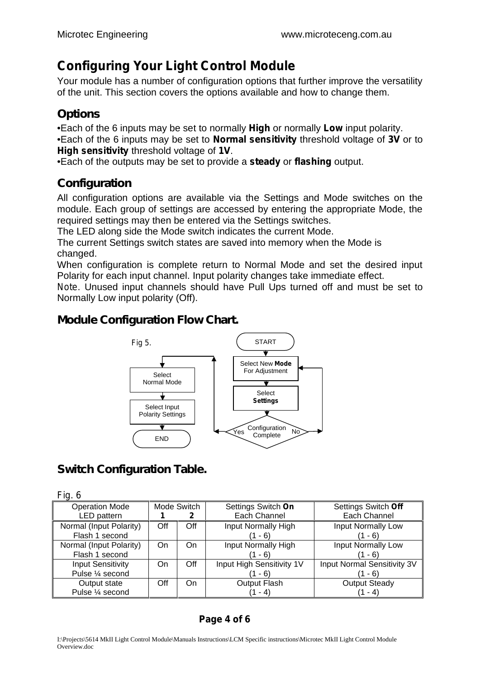# **Configuring Your Light Control Module**

Your module has a number of configuration options that further improve the versatility of the unit. This section covers the options available and how to change them.

### *Options*

•Each of the 6 inputs may be set to normally **High** or normally **Low** input polarity.

•Each of the 6 inputs may be set to **Normal sensitivity** threshold voltage of **3V** or to **High sensitivity** threshold voltage of **1V**.

•Each of the outputs may be set to provide a **steady** or **flashing** output.

### *Configuration*

All configuration options are available via the Settings and Mode switches on the module. Each group of settings are accessed by entering the appropriate Mode, the required settings may then be entered via the Settings switches.

The LED along side the Mode switch indicates the current Mode.

The current Settings switch states are saved into memory when the Mode is changed.

When configuration is complete return to Normal Mode and set the desired input Polarity for each input channel. Input polarity changes take immediate effect.

*Note*. Unused input channels should have Pull Ups turned off and must be set to Normally Low input polarity (Off).

### *Module Configuration Flow Chart.*



## *Switch Configuration Table.*

| Fig. 6                   |     |             |                           |                             |
|--------------------------|-----|-------------|---------------------------|-----------------------------|
| <b>Operation Mode</b>    |     | Mode Switch | Settings Switch On        | Settings Switch Off         |
| LED pattern              |     |             | Each Channel              | Each Channel                |
| Normal (Input Polarity)  | Off | Off         | Input Normally High       | Input Normally Low          |
| Flash 1 second           |     |             | (1 - 6)                   | (1 - 6)                     |
| Normal (Input Polarity)  | On  | On          | Input Normally High       | Input Normally Low          |
| Flash 1 second           |     |             | (1 - 6)                   | $(1 - 6)$                   |
| <b>Input Sensitivity</b> | On  | Off         | Input High Sensitivity 1V | Input Normal Sensitivity 3V |
| Pulse 1/4 second         |     |             | (1 - 6)                   | (1 - 6)                     |
| Output state             | Off | On          | <b>Output Flash</b>       | <b>Output Steady</b>        |
| Pulse 1/4 second         |     |             | $(1 - 4)$                 | (1 - 4)                     |

#### **Page 4 of 6**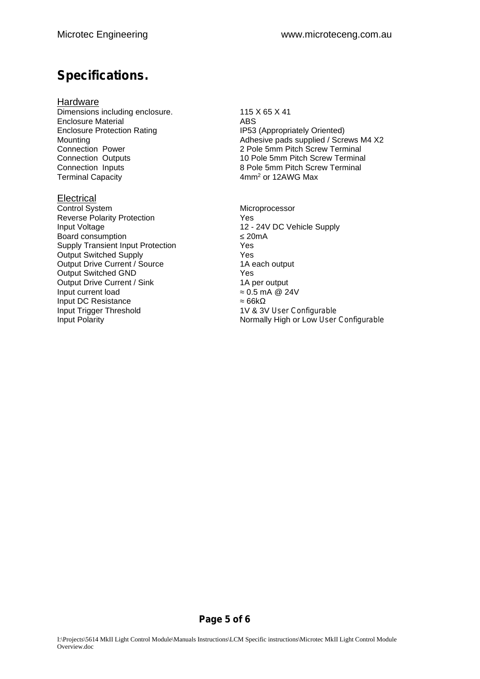# **Specifications.**

#### Hardware

Dimensions including enclosure. 115 X 65 X 41<br>Foclosure Material 60 **Enclosure Material** Enclosure Protection Rating IP53 (Appropriately Oriented)

**Electrical**<br>Control System Reverse Polarity Protection<br>
Input Voltage 12 -Board consumption Supply Transient Input Protection The Yes Output Switched Supply<br>
Output Drive Current / Source<br>
1A each output Output Drive Current / Source Output Switched GND Yes Output Drive Current / Sink 1A per output<br>
1A per output<br>
0.5 mA @ 24V Input current load Input DC Resistance 66k<br>
Input Trigger Threshold 1∨ & 3 Input Trigger Threshold 1V & 3V *User Configurable*<br>
1V & 3V *User Configurable*<br>
1V & 3V *User Configurable* 

Mounting<br>
Mounting Mounting<br>  $\begin{array}{ccc}\n & \circ & \circ & \circ \\
 & \circ & \circ & \circ \\
 & \circ & \circ & \circ \\
 & \circ & \circ & \circ \\
 & \circ & \circ & \circ \\
 & \circ & \circ & \circ\n\end{array}$ <br>
Adhesive pads supplied / Screw Terminal 2 Pole 5mm Pitch Screw Terminal Connection Outputs 10 Pole 5mm Pitch Screw Terminal Connection Inputs<br>
Terminal Capacity<br>
Terminal Capacity<br>
2001 - 2008 Max 4mm<sup>2</sup> or 12AWG Max 4mm<sup>2</sup> or 12AWG Max

> **Microprocessor** 12 - 24V DC Vehicle Supply<br>20mA Normally High or Low User Configurable

**Page 5 of 6**